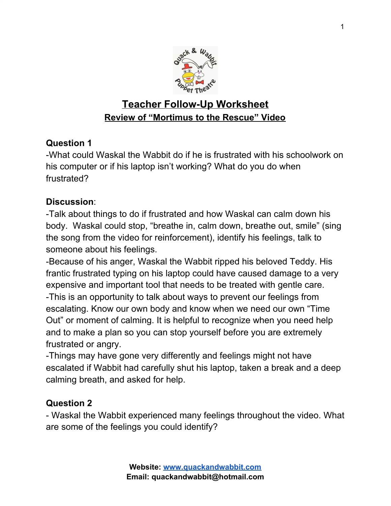

# **Teacher Follow-Up Worksheet Review of "Mortimus to the Rescue" Video**

## **Question 1**

-What could Waskal the Wabbit do if he is frustrated with his schoolwork on his computer or if his laptop isn't working? What do you do when frustrated?

## **Discussion**:

-Talk about things to do if frustrated and how Waskal can calm down his body. Waskal could stop, "breathe in, calm down, breathe out, smile" (sing the song from the video for reinforcement), identify his feelings, talk to someone about his feelings.

-Because of his anger, Waskal the Wabbit ripped his beloved Teddy. His frantic frustrated typing on his laptop could have caused damage to a very expensive and important tool that needs to be treated with gentle care. -This is an opportunity to talk about ways to prevent our feelings from escalating. Know our own body and know when we need our own "Time Out" or moment of calming. It is helpful to recognize when you need help and to make a plan so you can stop yourself before you are extremely frustrated or angry.

-Things may have gone very differently and feelings might not have escalated if Wabbit had carefully shut his laptop, taken a break and a deep calming breath, and asked for help.

## **Question 2**

- Waskal the Wabbit experienced many feelings throughout the video. What are some of the feelings you could identify?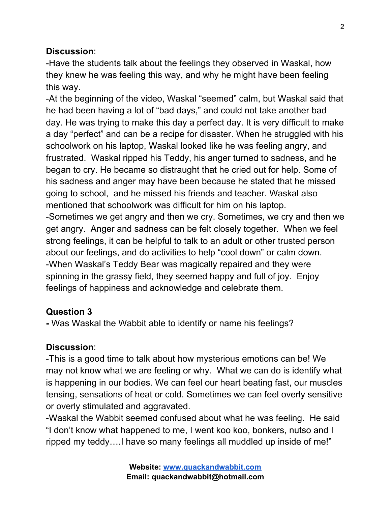### **Discussion**:

-Have the students talk about the feelings they observed in Waskal, how they knew he was feeling this way, and why he might have been feeling this way.

-At the beginning of the video, Waskal "seemed" calm, but Waskal said that he had been having a lot of "bad days," and could not take another bad day. He was trying to make this day a perfect day. It is very difficult to make a day "perfect" and can be a recipe for disaster. When he struggled with his schoolwork on his laptop, Waskal looked like he was feeling angry, and frustrated. Waskal ripped his Teddy, his anger turned to sadness, and he began to cry. He became so distraught that he cried out for help. Some of his sadness and anger may have been because he stated that he missed going to school, and he missed his friends and teacher. Waskal also mentioned that schoolwork was difficult for him on his laptop.

-Sometimes we get angry and then we cry. Sometimes, we cry and then we get angry. Anger and sadness can be felt closely together. When we feel strong feelings, it can be helpful to talk to an adult or other trusted person about our feelings, and do activities to help "cool down" or calm down. -When Waskal's Teddy Bear was magically repaired and they were spinning in the grassy field, they seemed happy and full of joy. Enjoy feelings of happiness and acknowledge and celebrate them.

#### **Question 3**

**-** Was Waskal the Wabbit able to identify or name his feelings?

#### **Discussion**:

-This is a good time to talk about how mysterious emotions can be! We may not know what we are feeling or why. What we can do is identify what is happening in our bodies. We can feel our heart beating fast, our muscles tensing, sensations of heat or cold. Sometimes we can feel overly sensitive or overly stimulated and aggravated.

-Waskal the Wabbit seemed confused about what he was feeling. He said "I don't know what happened to me, I went koo koo, bonkers, nutso and I ripped my teddy….I have so many feelings all muddled up inside of me!"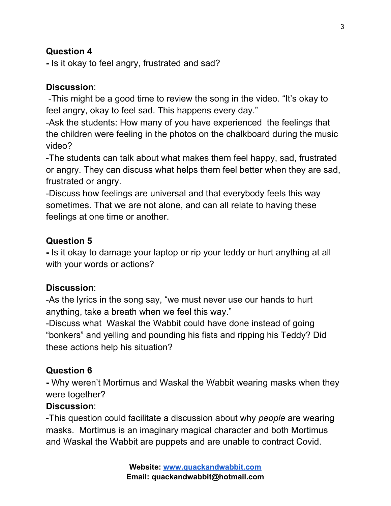### **Question 4**

**-** Is it okay to feel angry, frustrated and sad?

#### **Discussion**:

-This might be a good time to review the song in the video. "It's okay to feel angry, okay to feel sad. This happens every day."

-Ask the students: How many of you have experienced the feelings that the children were feeling in the photos on the chalkboard during the music video?

-The students can talk about what makes them feel happy, sad, frustrated or angry. They can discuss what helps them feel better when they are sad, frustrated or angry.

-Discuss how feelings are universal and that everybody feels this way sometimes. That we are not alone, and can all relate to having these feelings at one time or another.

#### **Question 5**

**-** Is it okay to damage your laptop or rip your teddy or hurt anything at all with your words or actions?

#### **Discussion**:

-As the lyrics in the song say, "we must never use our hands to hurt anything, take a breath when we feel this way."

-Discuss what Waskal the Wabbit could have done instead of going "bonkers" and yelling and pounding his fists and ripping his Teddy? Did these actions help his situation?

## **Question 6**

**-** Why weren't Mortimus and Waskal the Wabbit wearing masks when they were together?

## **Discussion**:

-This question could facilitate a discussion about why *people* are wearing masks. Mortimus is an imaginary magical character and both Mortimus and Waskal the Wabbit are puppets and are unable to contract Covid.